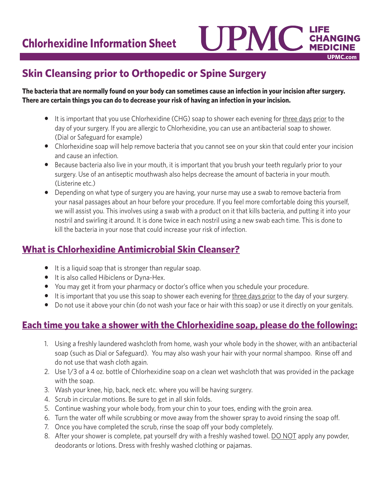

# **Skin Cleansing prior to Orthopedic or Spine Surgery**

**The bacteria that are normally found on your body can sometimes cause an infection in your incision after surgery. There are certain things you can do to decrease your risk of having an infection in your incision.**

- It is important that you use Chlorhexidine (CHG) soap to shower each evening for three days prior to the day of your surgery. If you are allergic to Chlorhexidine, you can use an antibacterial soap to shower. (Dial or Safeguard for example)
- Chlorhexidine soap will help remove bacteria that you cannot see on your skin that could enter your incision and cause an infection.
- Because bacteria also live in your mouth, it is important that you brush your teeth regularly prior to your surgery. Use of an antiseptic mouthwash also helps decrease the amount of bacteria in your mouth. (Listerine etc.)
- Depending on what type of surgery you are having, your nurse may use a swab to remove bacteria from your nasal passages about an hour before your procedure. If you feel more comfortable doing this yourself, we will assist you. This involves using a swab with a product on it that kills bacteria, and putting it into your nostril and swirling it around. It is done twice in each nostril using a new swab each time. This is done to kill the bacteria in your nose that could increase your risk of infection.

## **What is Chlorhexidine Antimicrobial Skin Cleanser?**

- It is a liquid soap that is stronger than regular soap.
- It is also called Hibiclens or Dyna-Hex.
- You may get it from your pharmacy or doctor's office when you schedule your procedure.
- It is important that you use this soap to shower each evening for three days prior to the day of your surgery.
- Do not use it above your chin (do not wash your face or hair with this soap) or use it directly on your genitals.

## **Each time you take a shower with the Chlorhexidine soap, please do the following:**

- 1. Using a freshly laundered washcloth from home, wash your whole body in the shower, with an antibacterial soap (such as Dial or Safeguard). You may also wash your hair with your normal shampoo. Rinse off and do not use that wash cloth again.
- 2. Use 1/3 of a 4 oz. bottle of Chlorhexidine soap on a clean wet washcloth that was provided in the package with the soap.
- 3. Wash your knee, hip, back, neck etc. where you will be having surgery.
- 4. Scrub in circular motions. Be sure to get in all skin folds.
- 5. Continue washing your whole body, from your chin to your toes, ending with the groin area.
- 6. Turn the water off while scrubbing or move away from the shower spray to avoid rinsing the soap off.
- 7. Once you have completed the scrub, rinse the soap off your body completely.
- 8. After your shower is complete, pat yourself dry with a freshly washed towel. DO NOT apply any powder, deodorants or lotions. Dress with freshly washed clothing or pajamas.